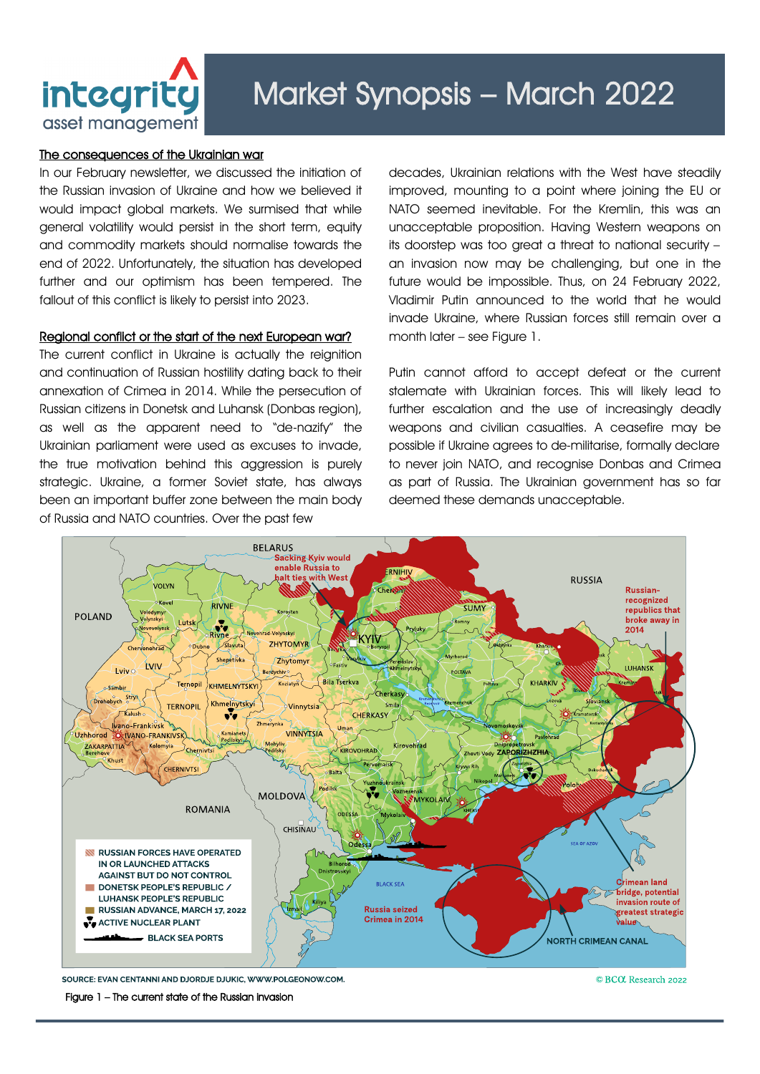

## The consequences of the Ukrainian war

In our February newsletter, we discussed the initiation of the Russian invasion of Ukraine and how we believed it would impact global markets. We surmised that while general volatility would persist in the short term, equity and commodity markets should normalise towards the end of 2022. Unfortunately, the situation has developed further and our optimism has been tempered. The fallout of this conflict is likely to persist into 2023.

## Regional conflict or the start of the next European war?

The current conflict in Ukraine is actually the reignition and continuation of Russian hostility dating back to their annexation of Crimea in 2014. While the persecution of Russian citizens in Donetsk and Luhansk (Donbas region), as well as the apparent need to "de-nazify" the Ukrainian parliament were used as excuses to invade, the true motivation behind this aggression is purely strategic. Ukraine, a former Soviet state, has always been an important buffer zone between the main body of Russia and NATO countries. Over the past few

decades, Ukrainian relations with the West have steadily improved, mounting to a point where joining the EU or NATO seemed inevitable. For the Kremlin, this was an unacceptable proposition. Having Western weapons on its doorstep was too great a threat to national security – an invasion now may be challenging, but one in the future would be impossible. Thus, on 24 February 2022, Vladimir Putin announced to the world that he would invade Ukraine, where Russian forces still remain over a month later – see Figure 1.

Putin cannot afford to accept defeat or the current stalemate with Ukrainian forces. This will likely lead to further escalation and the use of increasingly deadly weapons and civilian casualties. A ceasefire may be possible if Ukraine agrees to de-militarise, formally declare to never join NATO, and recognise Donbas and Crimea as part of Russia. The Ukrainian government has so far deemed these demands unacceptable.



SOURCE: EVAN CENTANNI AND DJORD JE DJUKIC, WWW.POLGEONOW.COM

Figure 1 – The current state of the Russian invasion

© BCC Research 2022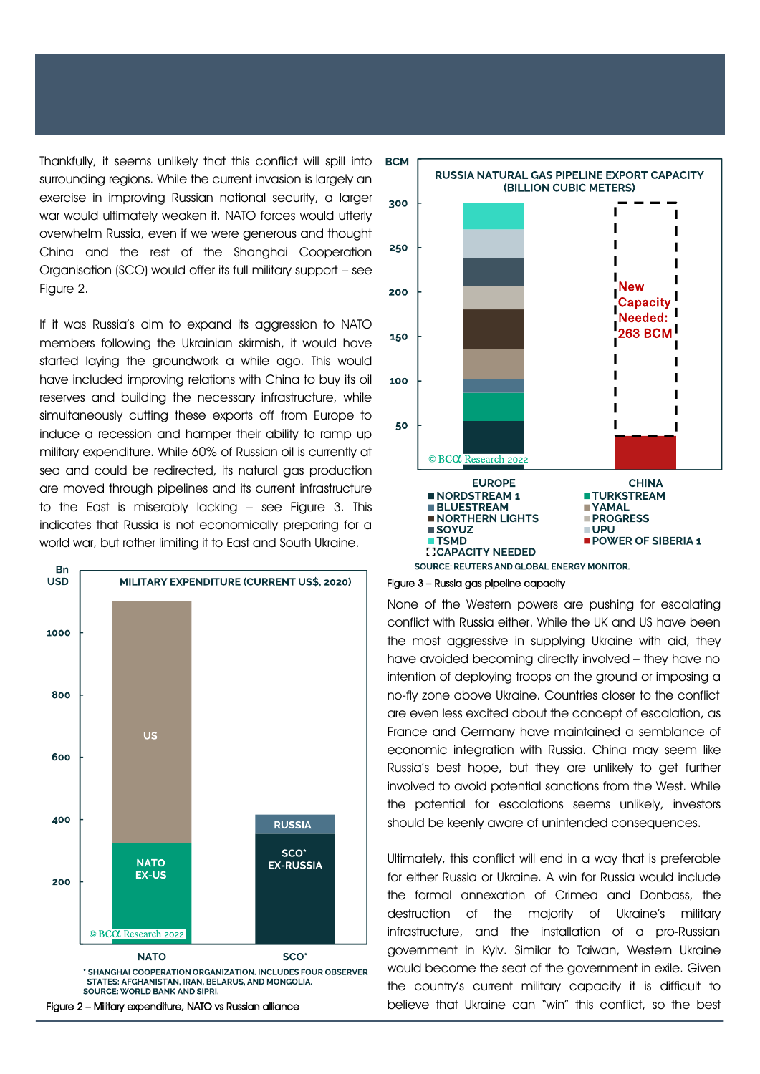Thankfully, it seems unlikely that this conflict will spill into surrounding regions. While the current invasion is largely an exercise in improving Russian national security, a larger war would ultimately weaken it. NATO forces would utterly overwhelm Russia, even if we were generous and thought China and the rest of the Shanghai Cooperation Organisation (SCO) would offer its full military support – see Figure 2.

If it was Russia's aim to expand its agaression to NATO members following the Ukrainian skirmish, it would have started laying the groundwork a while ago. This would have included improving relations with China to buy its oil reserves and building the necessary infrastructure, while simultaneously cutting these exports off from Europe to induce a recession and hamper their ability to ramp up military expenditure. While 60% of Russian oil is currently at sea and could be redirected, its natural gas production are moved through pipelines and its current infrastructure to the East is miserably lacking – see Figure 3. This indicates that Russia is not economically preparing for a world war, but rather limiting it to East and South Ukraine.







Figure 3 – Russia gas pipeline capacity

None of the Western powers are pushing for escalating conflict with Russia either. While the UK and US have been the most aggressive in supplying Ukraine with aid, they have avoided becoming directly involved – they have no intention of deploying troops on the ground or imposing a no-fly zone above Ukraine. Countries closer to the conflict are even less excited about the concept of escalation, as France and Germany have maintained a semblance of economic integration with Russia. China may seem like Russia's best hope, but they are unlikely to get further involved to avoid potential sanctions from the West. While the potential for escalations seems unlikely, investors should be keenly aware of unintended consequences.

Ultimately, this conflict will end in a way that is preferable for either Russia or Ukraine. A win for Russia would include the formal annexation of Crimea and Donbass, the destruction of the majority of Ukraine's military infrastructure, and the installation of a pro-Russian government in Kyiv. Similar to Taiwan, Western Ukraine would become the seat of the government in exile. Given the country's current military capacity it is difficult to Figure 2 – Military expenditure, NATO vs Russian alliance believe that Ukraine can "win" this conflict, so the best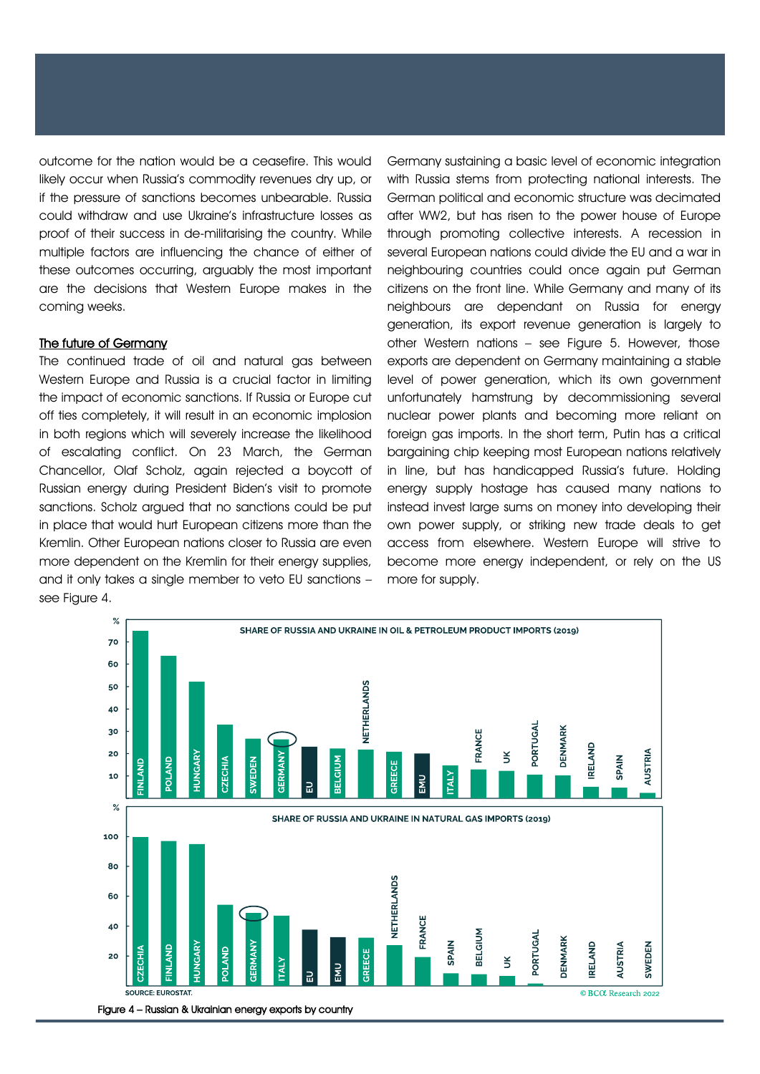outcome for the nation would be a ceasefire. This would likely occur when Russia's commodity revenues dry up, or if the pressure of sanctions becomes unbearable. Russia could withdraw and use Ukraine's infrastructure losses as proof of their success in de-militarising the country. While multiple factors are influencing the chance of either of these outcomes occurring, arguably the most important are the decisions that Western Europe makes in the coming weeks.

## The future of Germany

The continued trade of oil and natural gas between Western Europe and Russia is a crucial factor in limiting the impact of economic sanctions. If Russia or Europe cut off ties completely, it will result in an economic implosion in both regions which will severely increase the likelihood of escalating conflict. On 23 March, the German Chancellor, Olaf Scholz, again rejected a boycott of Russian energy during President Biden's visit to promote sanctions. Scholz argued that no sanctions could be put in place that would hurt European citizens more than the Kremlin. Other European nations closer to Russia are even more dependent on the Kremlin for their energy supplies, and it only takes a single member to veto EU sanctions – see Figure 4.

Germany sustaining a basic level of economic integration with Russia stems from protecting national interests. The German political and economic structure was decimated after WW2, but has risen to the power house of Europe through promoting collective interests. A recession in several European nations could divide the EU and a war in neighbouring countries could once again put German citizens on the front line. While Germany and many of its neighbours are dependant on Russia for energy generation, its export revenue generation is largely to other Western nations – see Figure 5. However, those exports are dependent on Germany maintaining a stable level of power generation, which its own government unfortunately hamstrung by decommissioning several nuclear power plants and becoming more reliant on foreign gas imports. In the short term, Putin has a critical bargaining chip keeping most European nations relatively in line, but has handicapped Russia's future. Holding energy supply hostage has caused many nations to instead invest large sums on money into developing their own power supply, or striking new trade deals to get access from elsewhere. Western Europe will strive to become more energy independent, or rely on the US more for supply.